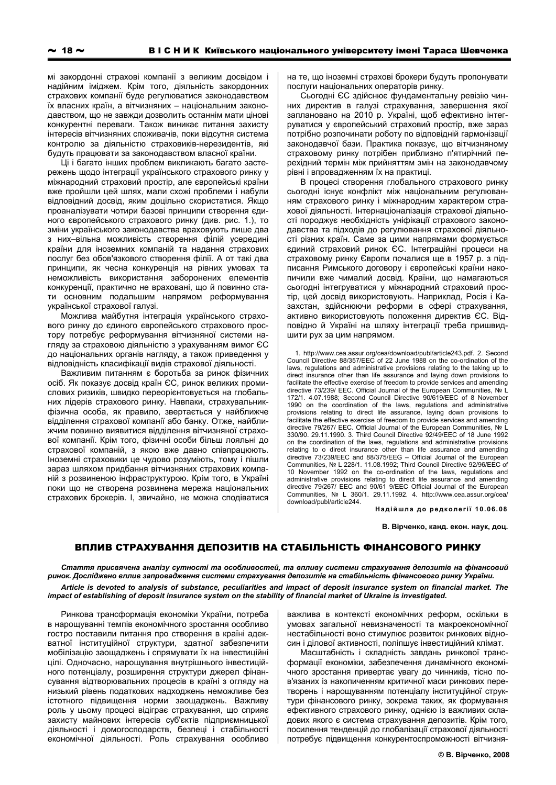мі закордонні страхові компанії з великим досвідом і надійним іміджем. Крім того, діяльність закордонних страхових компанії буде регулюватися законодавством їх власних країн, а вітчизняних - національним законодавством, що не завжди дозволить останнім мати цінові конкурентні переваги. Також виникає питання захисту інтересів вітчизняних споживачів, поки відсутня система контролю за діяльністю страховиків-нерезидентів, які будуть працювати за законодавством власної країни.

Ці і багато інших проблем викликають багато застережень щодо інтеграції українського страхового ринку у міжнародний страховий простір, але європейські країни вже пройшли цей шлях, мали схожі проблеми і набули відповідний досвід, яким доцільно скористатися. Якщо проаналізувати чотири базові принципи створення єдиного європейського страхового ринку (див. рис. 1.), то зміни українського законодавства враховують лише два з них-вільна можливість створення філій усередині країни для іноземних компаній та надання страхових послуг без обов'язкового створення філії. А от такі два принципи, як чесна конкуренція на рівних умовах та неможливість використання заборонених елементів конкуренції, практично не враховані, що й повинно стати основним подальшим напрямом реформування української страхової галузі.

Можлива майбутня інтеграція українського страхового ринку до єдиного європейського страхового простору потребує реформування вітчизняної системи нагляду за страховою діяльністю з урахуванням вимог ЄС до національних органів нагляду, а також приведення у відповідність класифікації видів страхової діяльності.

Важливим питанням є боротьба за ринок фізичних осіб. Як показує досвід країн ЄС, ринок великих промислових ризиків, швидко переорієнтовується на глобальних лідерів страхового ринку. Навпаки, страхувальникфізична особа, як правило, звертається у найближче відділення страхової компанії або банку. Отже, найближчим повинно виявитися відділення вітчизняної страхової компанії. Крім того, фізичні особи більш лояльні до страхової компаній, з якою вже давно співпрацюють. Іноземні страховики це чудово розуміють, тому і пішли зараз шляхом придбання вітчизняних страхових компаній з розвиненою інфраструктурою. Крім того, в Україні поки що не створена розвинена мережа національних страхових брокерів. І, звичайно, не можна сподіватися

на те, що іноземні страхові брокери будуть пропонувати послуги національних операторів ринку.

Сьогодні ЄС здійснює фундаментальну ревізію чинних директив в галузі страхування, завершення якої заплановано на 2010 р. Україні, щоб ефективно інтегруватися у європейський страховий простір, вже зараз потрібно розпочинати роботу по відповідній гармонізації законодавчої бази. Практика показує, що вітчизняному страховому ринку потрібен приблизно п'ятирічний перехідний термін між прийняттям змін на законодавчому рівні і впровадженням їх на практиці.

В процесі створення глобального страхового ринку сьогодні існує конфлікт між національним регулюванням страхового ринку і міжнародним характером страхової діяльності. Інтернаціоналізація страхової діяльності породжує необхідність уніфікації страхового законодавства та підходів до регулювання страхової діяльності різних країн. Саме за цими напрямами формується єдиний страховий ринок ЄС. Інтеграційні процеси на страховому ринку Європи почалися ще в 1957 р. з підписання Римського договору і європейські країни накопичили вже чималий досвід. Країни, що намагаються сьогодні інтегруватися у міжнародний страховий простір, цей досвід використовують. Наприклад, Росія і Казахстан, здійснюючи реформи в сфері страхування, активно використовують положення директив ЄС. Відповідно й Україні на шляху інтеграції треба пришвидшити рух за цим напрямом.

1. http://www.cea.assur.org/cea/download/publ/article243.pdf. 2. Second Council Directive 88/357/EEC of 22 June 1988 on the co-ordination of the laws, regulations and administrative provisions relating to the taking up to direct insurance other than life assurance and laving down provisions to facilitate the effective exercise of freedom to provide services and amending directive 73/239/ EEC. Official Journal of the European Communities. Nº L 172/1. 4.07.1988; Second Council Directive 90/619/EEC of 8 November 1990 on the coordination of the laws, regulations and administrative provisions relating to direct life assurance, laying down provisions to facilitate the effective exercise of freedom to provide services and amending directive 79/267/ EEC. Official Journal of the European Communities, Nº L 330/90. 29.11.1990. 3. Third Council Directive 92/49/EEC of 18 June 1992 on the coordination of the laws, regulations and administrative provisions relating to o direct insurance other than life assurance and amending directive 73/239/EEC and 88/375/EEG - Official Journal of the European Communities, Nº L 228/1. 11.08.1992; Third Council Directive 92/96/EEC of 10 November 1992 on the co-ordination of the laws, regulations and administrative provisions relating to direct life assurance and amending directive 79/267/ EEC and 90/61 9/EEC Official Journal of the European Communities, Nº L 360/1. 29.11.1992. 4. http://www.cea.assur.org/cea/ download/publ/article244.

Надійшла до редколегії 10.06.08

В. Вірченко, канд. екон. наук, доц.

## ВПЛИВ СТРАХУВАННЯ ДЕПОЗИТІВ НА СТАБІЛЬНІСТЬ ФІНАНСОВОГО РИНКУ

Стаття присвячена аналізу сутності та особливостей, та впливу системи страхування депозитів на фінансовий ринок. Досліджено вплив запровадження системи страхування депозитів на стабільність фінансового ринку України. Article is devoted to analysis of substance, peculiarities and impact of deposit insurance system on financial market. The impact of establishing of deposit insurance system on the stability of financial market of Ukraine is investigated.

Ринкова трансформація економіки України, потреба в нарощуванні темпів економічного зростання особливо гостро поставили питання про створення в країні адекватної інституційної структури, здатної забезпечити мобілізацію заощаджень і спрямувати їх на інвестиційні цілі. Одночасно, нарощування внутрішнього інвестиційного потенціалу, розширення структури джерел фінансування відтворювальних процесів в країні з огляду на низький рівень податкових надходжень неможливе без істотного підвищення норми заощаджень. Важливу роль у цьому процесі відіграє страхування, що сприяє захисту майнових інтересів суб'єктів підприємницької діяльності і домогосподарств, безпеці і стабільності економічної діяльності. Роль страхування особливо

важлива в контексті економічних реформ, оскільки в умовах загальної невизначеності та макроекономічної нестабільності воно стимулює розвиток ринкових відносин і ділової активності, поліпшує інвестиційний клімат.

Масштабність і складність завдань ринкової трансформації економіки, забезпечення динамічного економічного зростання привертає увагу до чинників, тісно пов'язаних із накопиченням критичної маси ринкових перетворень і нарощуванням потенціалу інституційної структури фінансового ринку, зокрема таких, як формування ефективного страхового ринку, однією із важливих складових якого є система страхування депозитів. Крім того, посилення тенденцій до глобалізації страхової діяльності потребує підвищення конкурентоспроможності вітчизня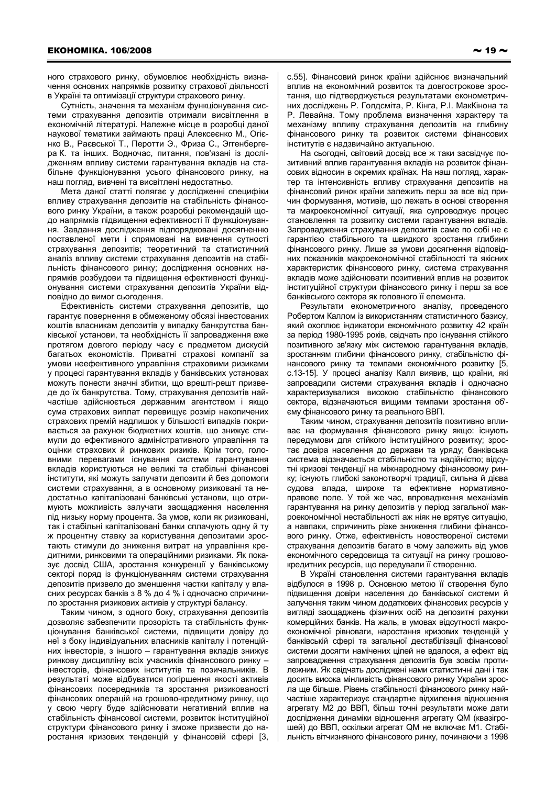ного страхового ринку, обумовлює необхідність визначення основних напрямків розвитку страхової діяльності в Україні та оптимізації структури страхового ринку.

Сутність, значення та механізм функціонування системи страхування депозитів отримали висвітлення в економічній літературі. Належне місце в розробці даної наукової тематики займають праці Алексеєнко М., Огієнко В., Раєвської Т., Перотти Э., Фриза С., Эггенбергера К. та інших. Водночас, питання, пов'язані із дослідженням впливу системи гарантування вкладів на стабільне функціонування усього фінансового ринку, на наш погляд, вивчені та висвітлені недостатньо.

Мета даної статті полягає у дослідженні специфіки впливу страхування депозитів на стабільність фінансового ринку України, а також розробці рекомендацій щодо напрямків підвищення ефективності її функціонування. Завдання дослідження підпорядковані досягненню поставленої мети і спрямовані на вивчення сутності страхування депозитів; теоретичний та статистичний аналіз впливу системи страхування депозитів на стабільність фінансового ринку; дослідження основних напрямків розбудови та підвищення ефективності функціонування системи страхування депозитів України відповідно до вимог сьогодення.

Ефективність системи страхування депозитів. що гарантує повернення в обмеженому обсязі інвестованих коштів власникам депозитів у випадку банкрутства банківської установи, та необхідність її запровадження вже протягом довгого періоду часу є предметом дискусій багатьох економістів. Приватні страхові компанії за умови неефективного управління страховими ризиками у процесі гарантування вкладів у банківських установах можуть понести значні збитки, що врешті-решт призведе до їх банкрутства. Тому, страхування депозитів найчастіше здійснюється державним агентством і якщо сума страхових виплат перевищує розмір накопичених страхових премій надлишок у більшості випадків покривається за рахунок бюджетних коштів, що знижує стимули до ефективного адміністративного управління та оцінки страхових й ринкових ризиків. Крім того, головними перевагами існування системи гарантування вкладів користуються не великі та стабільні фінансові інститути, які можуть залучати депозити й без допомоги системи страхування, а в основному ризиковані та недостатньо капіталізовані банківські установи, що отримують можливість залучати заощадження населення під низьку норму процента. За умов, коли як ризиковані, так і стабільні капіталізовані банки сплачують одну й ту ж процентну ставку за користування депозитами зростають стимули до зниження витрат на управління кредитними, ринковими та операційними ризиками. Як показує досвід США, зростання конкуренції у банківському секторі поряд із функціонуванням системи страхування депозитів призвело до зменшення частки капіталу у власних ресурсах банків з 8 % до 4 % і одночасно спричинило зростання ризикових активів у структурі балансу.

Таким чином, з одного боку, страхування депозитів дозволяє забезпечити прозорість та стабільність функціонування банківської системи, підвищити довіру до неї з боку індивідуальних власників капіталу і потенційних інвесторів, з іншого - гарантування вкладів знижує ринкову дисципліну всіх учасників фінансового ринку інвесторів, фінансових інститутів та позичальників. В результаті може відбуватися погіршення якості активів фінансових посередників та зростання ризикованості фінансових операцій на грошово-кредитному ринку, що у свою чергу буде здійснювати негативний вплив на стабільність фінансової системи, розвиток інституційної структури фінансового ринку і зможе призвести до наростання кризових тенденцій у фінансовій сфері [3,

с.55]. Фінансовий ринок країни здійснює визначальний вплив на економічний розвиток та довгострокове зростання, що підтверджується результатами економетричних досліджень Р. Голдсміта, Р. Кінга, Р. І. МакКінона та Р. Левайна. Тому проблема визначення характеру та механізму впливу страхування депозитів на глибину фінансового ринку та розвиток системи фінансових інститутів є надзвичайно актуальною.

На сьогодні, світовий досвід все ж таки засвідчує позитивний вплив гарантування вкладів на розвиток фінансових відносин в окремих країнах. На наш погляд, характер та інтенсивність впливу страхування депозитів на фінансовий ринок країни залежить перш за все від причин формування, мотивів, що лежать в основі створення та макроекономічної ситуації, яка супроводжує процес становлення та розвитку системи гарантування вкладів. Запровадження страхування депозитів саме по собі не є гарантією стабільного та швидкого зростання глибини фінансового ринку. Лише за умови досягнення відповідних показників макроекономічної стабільності та якісних характеристик фінансового ринку, система страхування вкладів може здійснювати позитивний вплив на розвиток інституційної структури фінансового ринку і перш за все банківського сектора як головного її елемента.

Результати економетричного аналізу, проведеного Робертом Каллом із використанням статистичного базису, який охоплює індикатори економічного розвитку 42 країн за період 1980-1995 років, свідчать про існування стійкого позитивного зв'язку між системою гарантування вкладів, зростанням глибини фінансового ринку, стабільністю фінансового ринку та темпами економічного розвитку [5. с.13-15]. У процесі аналізу Калл виявив, що країни, які запровадили системи страхування вкладів і одночасно характеризувалися високою стабільністю фінансового сектора, відзначаються вищими темпами зростання об'єму фінансового ринку та реального ВВП.

Таким чином, страхування депозитів позитивно впливає на формування фінансового ринку якщо: існують передумови для стійкого інституційного розвитку; зростає довіра населення до держави та уряду; банківська система відзначається стабільністю та надійністю; відсутні кризові тенденції на міжнародному фінансовому ринку; існують глибокі законотворчі традиції, сильна й дієва судова влада, широке та ефективне нормативноправове поле. У той же час, впровадження механізмів гарантування на ринку депозитів у період загальної макроекономічної нестабільності аж ніяк не врятує ситуацію, а навпаки, спричинить різке зниження глибини фінансового ринку. Отже, ефективність новоствореної системи страхування депозитів багато в чому залежить від умов економічного середовища та ситуації на ринку грошовокредитних ресурсів, що передували її створенню.

В Україні становлення системи гарантування вкладів відбулося в 1998 р. Основною метою її створення було підвищення довіри населення до банківської системи й залучення таким чином додаткових фінансових ресурсів у вигляді заошаджень фізичних осіб на депозитні рахунки комерційних банків. На жаль, в умовах відсутності макроекономічної рівноваги, наростання кризових тенденцій у банківській сфері та загальної дестабілізації фінансової системи досягти намічених цілей не вдалося, а ефект від запровадження страхування депозитів був зовсім протилежним. Як свідчать досліджені нами статистичні дані і так досить висока мінливість фінансового ринку України зросла ще більше. Рівень стабільності фінансового ринку найчастіше характеризує стандартне відхилення відношення агрегату М2 до ВВП, більш точні результати може дати дослідження динаміки відношення агрегату QM (квазігрошей) до ВВП, оскільки агрегат QM не включає М1. Стабільність вітчизняного фінансового ринку, починаючи з 1998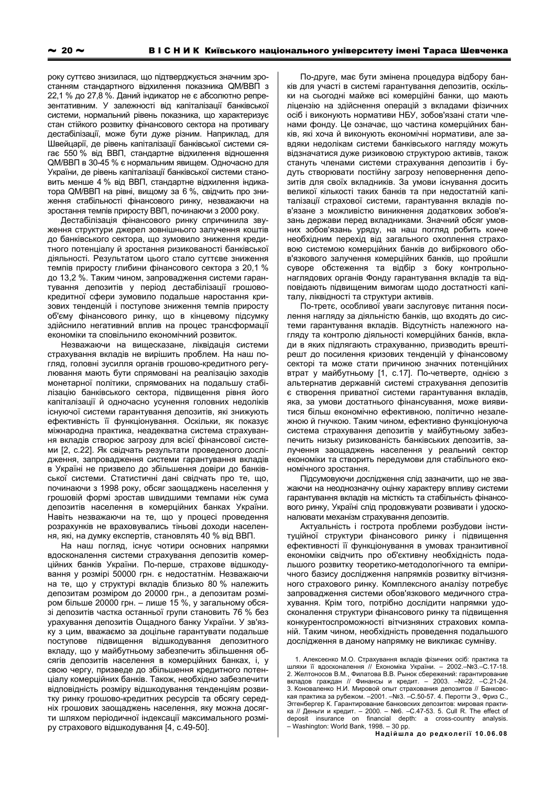року суттєво знизилася, що підтверджується значним зростанням стандартного відхилення показника QM/BBП з 22,1 % до 27,8 %. Даний індикатор не є абсолютно репрезентативним. У залежності від капіталізації банківської системи, нормальний рівень показника, що характеризує стан стійкого розвитку фінансового сектора на противагу дестабілізації, може бути дуже різним. Наприклад, для Швейцарії, де рівень капіталізації банківської системи сягає 550 % від ВВП, стандартне відхилення відношення QM/BBП в 30-45 % є нормальним явищем. Одночасно для України, де рівень капіталізації банківської системи становить менше 4 % від ВВП, стандартне відхилення індикатора QM/ВВП на рівні, вищому за 6 %, свідчить про зниження стабільності фінансового ринку, незважаючи на зростання темпів приросту ВВП, починаючи з 2000 року.

Дестабілізація фінансового ринку спричинила звуження структури джерел зовнішнього залучення коштів до банківського сектора, що зумовило зниження кредитного потенціалу й зростання ризикованості банківської діяльності. Результатом цього стало суттєве зниження темпів приросту глибини фінансового сектора з 20,1 % до 13.2 %. Таким чином, запровадження системи гарантування депозитів у період дестабілізації грошовокредитної сфери зумовило подальше наростання кризових тенденцій і поступове зниження темпів приросту об'єму фінансового ринку, що в кінцевому підсумку здійснило негативний вплив на процес трансформації економіки та сповільнило економічний розвиток.

Незважаючи на вищесказане, ліквідація системи страхування вкладів не вирішить проблем. На наш погляд, головні зусилля органів грошово-кредитного регулювання мають бути спрямовані на реалізацію заходів монетарної політики, спрямованих на подальшу стабілізацію банківського сектора, підвищення рівня його капіталізації й одночасно усунення головних недоліків існуючої системи гарантування депозитів, які знижують ефективність її функціонування. Оскільки, як показує міжнародна практика, неадекватна система страхування вкладів створює загрозу для всієї фінансової системи [2, с.22]. Як свідчать результати проведеного дослідження, запровадження системи гарантування вкладів в Україні не призвело до збільшення довіри до банківської системи. Статистичні дані свідчать про те, що, починаючи з 1998 року, обсяг заощаджень населення у грошовій формі зростав швидшими темпами ніж сума депозитів населення в комерційних банках України. Навіть незважаючи на те, що у процесі проведення розрахунків не враховувались тіньові доходи населення, які, на думку експертів, становлять 40 % від ВВП.

На наш погляд, існує чотири основних напрямки вдосконалення системи страхування депозитів комерційних банків України. По-перше, страхове відшкодування у розмірі 50000 грн. є недостатнім. Незважаючи на те, що у структурі вкладів близько 80 % належить депозитам розміром до 20000 грн., а депозитам розміром більше 20000 грн. - лише 15 %, у загальному обсязі депозитів частка останньої групи становить 76 % без урахування депозитів Ощадного банку України. У зв'язку з цим, вважаємо за доцільне гарантувати подальше поступове підвищення відшкодування депозитного вкладу, що у майбутньому забезпечить збільшення обсягів депозитів населення в комерційних банках, і, у свою чергу, призведе до збільшення кредитного потенціалу комерційних банків. Також, необхідно забезпечити відповідність розміру відшкодування тенденціям розвитку ринку грошово-кредитних ресурсів та обсягу середніх грошових заощаджень населення, яку можна досягти шляхом періодичної індексації максимального розміру страхового відшкодування [4, с.49-50].

По-друге, має бути змінена процедура відбору банків для участі в системі гарантування депозитів, оскільки на сьогодні майже всі комерційні банки, що мають ліцензію на здійснення операцій з вкладами фізичних осіб і виконують нормативи НБУ, зобов'язані стати членами фонду. Це означає, що частина комерційних банків, які хоча й виконують економічні нормативи, але завдяки недолікам системи банківського нагляду можуть відзначатися дуже ризиковою структурою активів, також стануть членами системи страхування депозитів і будуть створювати постійну загрозу неповернення депозитів для своїх вкладників. За умови існування досить великої кількості таких банків та при недостатній капіталізації страхової системи, гарантування вкладів пов'язане з можливістю виникнення додаткових зобов'язань держави перед вкладниками. Значний обсяг умовних зобов'язань уряду, на наш погляд робить конче необхідним перехід від загального охоплення страховою системою комерційних банків до вибіркового обов'язкового залучення комерційних банків, що пройшли суворе обстеження та відбір з боку контрольнонаглядових органів Фонду гарантування вкладів та відповідають підвищеним вимогам щодо достатності капіталу, ліквідності та структури активів.

По-трете, особливої уваги заслуговує питання посилення нагляду за діяльністю банків, що входять до системи гарантування вкладів. Відсутність належного нагляду та контролю діяльності комерційних банків, вклади в яких підлягають страхуванню, призводить врештірешт до посилення кризових тенденцій у фінансовому секторі та може стати причиною значних потенційних втрат у майбутньому [1, с.17]. По-четверте, однією з альтернатив державній системі страхування депозитів є створення приватної системи гарантування вкладів, яка, за умови достатнього фінансування, може виявитися більш економічно ефективною, політично незалежною й гнучкою. Таким чином, ефективно функціонуюча система страхування депозитів у майбутньому забезпечить низьку ризикованість банківських депозитів, залучення заощаджень населення у реальний сектор економіки та створить передумови для стабільного економічного зростання.

Підсумовуючи дослідження слід зазначити, що не зважаючи на неоднозначну оцінку характеру впливу системи гарантування вкладів на місткість та стабільність фінансового ринку. Україні слід продовжувати розвивати і удосконалювати механізм страхування депозитів.

Актуальність і гострота проблеми розбудови інституційної структури фінансового ринку і підвищення ефективності її функціонування в умовах транзитивної економіки свідчить про об'єктивну необхідність подальшого розвитку теоретико-методологічного та емпіричного базису дослідження напрямків розвитку вітчизняного страхового ринку. Комплексного аналізу потребує запровадження системи обов'язкового медичного страхування. Крім того, потрібно дослідити напрямки удосконалення структури фінансового ринку та підвищення конкурентоспроможності вітчизняних страхових компаній. Таким чином, необхідність проведення подальшого дослідження в даному напрямку не викликає сумніву.

<sup>1.</sup> Алексеєнко М.О. Страхування вкладів фізичних осіб: практика та шляхи її вдосконалення // Економіка України. - 2002. - №3. - С.17-18. 2. Желтоносов В.М., Филатова В.В. Рынок сбережений: гарантирование вкладов граждан // Финансы и кредит - 2003 - Ne22  $C.21.24$ 3. Коноваленко Н.И. Мировой опыт страхования депозитов // Банковская практика за рубежом. - 2001. - №3. - С.50-57. 4. Перотти Э., Фриз С., Эггенбергер К. Гарантирование банковских депозитов: мировая практика // Деньги и кредит. - 2000. - №6. -С.47-53. 5. Сull R. The effect of deposit insurance on financial depth: a cross-country analysis. - Washington: World Bank, 1998. - 30 pp.